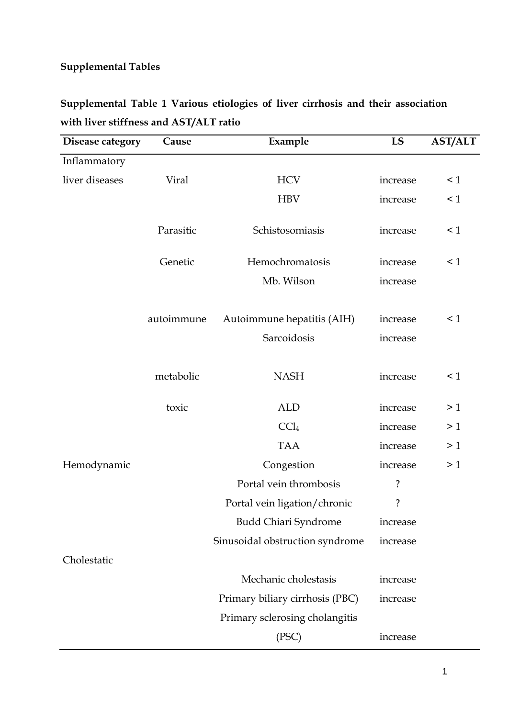## **Supplemental Tables**

| Disease category | Cause      | Example                         | LS         | <b>AST/ALT</b> |
|------------------|------------|---------------------------------|------------|----------------|
| Inflammatory     |            |                                 |            |                |
| liver diseases   | Viral      | <b>HCV</b>                      | increase   | $\leq 1$       |
|                  |            | <b>HBV</b>                      | increase   | $\leq 1$       |
|                  | Parasitic  | Schistosomiasis                 | increase   | $\leq 1$       |
|                  | Genetic    | Hemochromatosis                 | increase   | $\leq 1$       |
|                  |            | Mb. Wilson                      | increase   |                |
|                  |            |                                 |            |                |
|                  | autoimmune | Autoimmune hepatitis (AIH)      | increase   | $\leq 1$       |
|                  |            | Sarcoidosis                     | increase   |                |
|                  |            |                                 |            |                |
|                  | metabolic  | <b>NASH</b>                     | increase   | $\leq 1$       |
|                  | toxic      | <b>ALD</b>                      |            | >1             |
|                  |            | CCl <sub>4</sub>                | increase   | >1             |
|                  |            |                                 | increase   |                |
|                  |            | <b>TAA</b>                      | increase   | >1             |
| Hemodynamic      |            | Congestion                      | increase   | >1             |
|                  |            | Portal vein thrombosis          | $\ddot{?}$ |                |
|                  |            | Portal vein ligation/chronic    | ?          |                |
|                  |            | <b>Budd Chiari Syndrome</b>     | increase   |                |
|                  |            | Sinusoidal obstruction syndrome | increase   |                |
| Cholestatic      |            |                                 |            |                |
|                  |            | Mechanic cholestasis            | increase   |                |
|                  |            | Primary biliary cirrhosis (PBC) | increase   |                |
|                  |            | Primary sclerosing cholangitis  |            |                |
|                  |            | (PSC)                           | increase   |                |

## **Supplemental Table 1 Various etiologies of liver cirrhosis and their association with liver stiffness and AST/ALT ratio**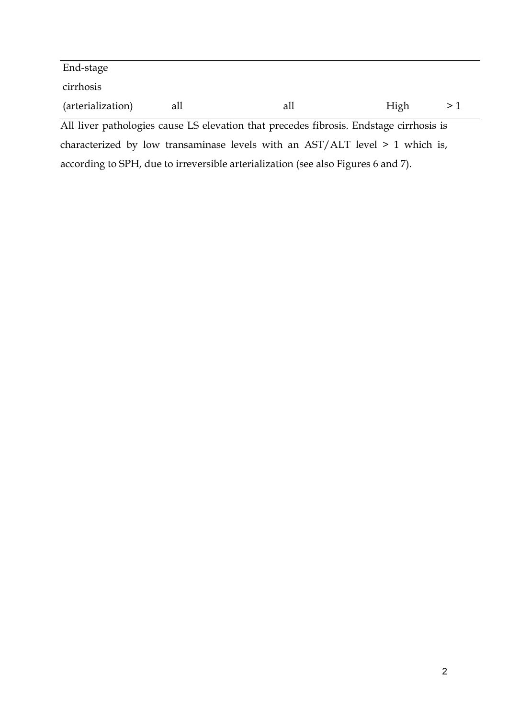| End-stage         |     |     |      |  |
|-------------------|-----|-----|------|--|
| cirrhosis         |     |     |      |  |
| (arterialization) | all | all | High |  |

All liver pathologies cause LS elevation that precedes fibrosis. Endstage cirrhosis is characterized by low transaminase levels with an AST/ALT level > 1 which is, according to SPH, due to irreversible arterialization (see also Figures 6 and 7).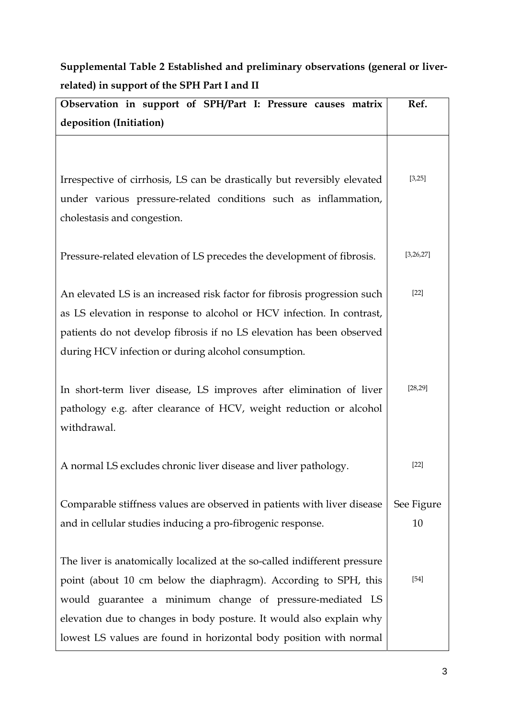| Observation in support of SPH/Part I: Pressure causes matrix              | Ref.       |
|---------------------------------------------------------------------------|------------|
| deposition (Initiation)                                                   |            |
|                                                                           |            |
| Irrespective of cirrhosis, LS can be drastically but reversibly elevated  | [3,25]     |
| under various pressure-related conditions such as inflammation,           |            |
| cholestasis and congestion.                                               |            |
| Pressure-related elevation of LS precedes the development of fibrosis.    | [3,26,27]  |
| An elevated LS is an increased risk factor for fibrosis progression such  | $[22]$     |
| as LS elevation in response to alcohol or HCV infection. In contrast,     |            |
| patients do not develop fibrosis if no LS elevation has been observed     |            |
| during HCV infection or during alcohol consumption.                       |            |
|                                                                           |            |
| In short-term liver disease, LS improves after elimination of liver       | [28, 29]   |
| pathology e.g. after clearance of HCV, weight reduction or alcohol        |            |
| withdrawal.                                                               |            |
| A normal LS excludes chronic liver disease and liver pathology.           | $[22]$     |
| Comparable stiffness values are observed in patients with liver disease   | See Figure |
| and in cellular studies inducing a pro-fibrogenic response.               | 10         |
|                                                                           |            |
| The liver is anatomically localized at the so-called indifferent pressure |            |
| point (about 10 cm below the diaphragm). According to SPH, this           | $[54]$     |
| would guarantee a minimum change of pressure-mediated LS                  |            |
| elevation due to changes in body posture. It would also explain why       |            |
| lowest LS values are found in horizontal body position with normal        |            |

## **Supplemental Table 2 Established and preliminary observations (general or liverrelated) in support of the SPH Part I and II**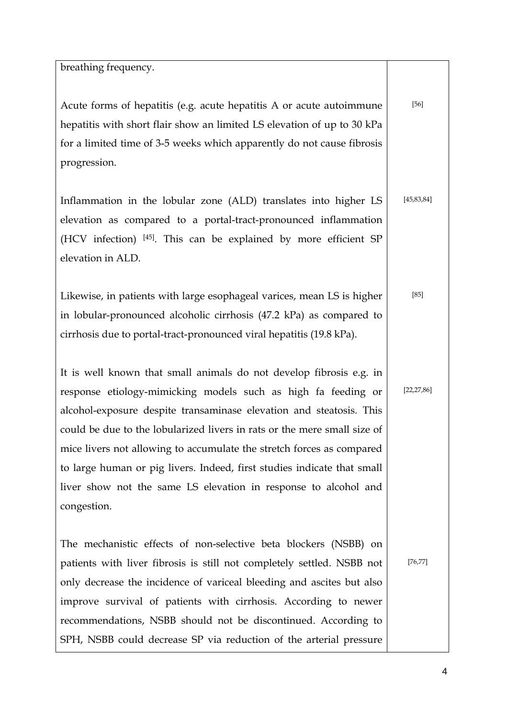| breathing frequency.                                                                                                                                                                                                                                                                                                                                                                                                                                                                                           |              |
|----------------------------------------------------------------------------------------------------------------------------------------------------------------------------------------------------------------------------------------------------------------------------------------------------------------------------------------------------------------------------------------------------------------------------------------------------------------------------------------------------------------|--------------|
|                                                                                                                                                                                                                                                                                                                                                                                                                                                                                                                |              |
| Acute forms of hepatitis (e.g. acute hepatitis A or acute autoimmune<br>hepatitis with short flair show an limited LS elevation of up to 30 kPa<br>for a limited time of 3-5 weeks which apparently do not cause fibrosis<br>progression.                                                                                                                                                                                                                                                                      | $[56]$       |
|                                                                                                                                                                                                                                                                                                                                                                                                                                                                                                                |              |
| Inflammation in the lobular zone (ALD) translates into higher LS<br>elevation as compared to a portal-tract-pronounced inflammation<br>(HCV infection) [45]. This can be explained by more efficient SP<br>elevation in ALD.                                                                                                                                                                                                                                                                                   | [45, 83, 84] |
| Likewise, in patients with large esophageal varices, mean LS is higher<br>in lobular-pronounced alcoholic cirrhosis (47.2 kPa) as compared to<br>cirrhosis due to portal-tract-pronounced viral hepatitis (19.8 kPa).                                                                                                                                                                                                                                                                                          | $[85]$       |
| It is well known that small animals do not develop fibrosis e.g. in<br>response etiology-mimicking models such as high fa feeding or<br>alcohol-exposure despite transaminase elevation and steatosis. This<br>could be due to the lobularized livers in rats or the mere small size of<br>mice livers not allowing to accumulate the stretch forces as compared<br>to large human or pig livers. Indeed, first studies indicate that small<br>liver show not the same LS elevation in response to alcohol and | [22, 27, 86] |
| congestion.                                                                                                                                                                                                                                                                                                                                                                                                                                                                                                    |              |
| The mechanistic effects of non-selective beta blockers (NSBB) on<br>patients with liver fibrosis is still not completely settled. NSBB not<br>only decrease the incidence of variceal bleeding and ascites but also<br>improve survival of patients with cirrhosis. According to newer<br>recommendations, NSBB should not be discontinued. According to<br>SPH, NSBB could decrease SP via reduction of the arterial pressure                                                                                 | [76, 77]     |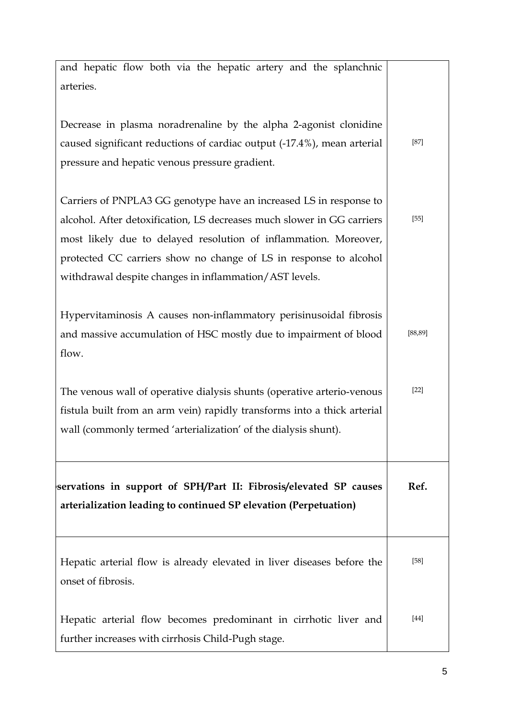| Hepatic arterial flow becomes predominant in cirrhotic liver and<br>further increases with cirrhosis Child-Pugh stage.                                                                                                                                                                                                                          | $[44]$   |
|-------------------------------------------------------------------------------------------------------------------------------------------------------------------------------------------------------------------------------------------------------------------------------------------------------------------------------------------------|----------|
| Hepatic arterial flow is already elevated in liver diseases before the<br>onset of fibrosis.                                                                                                                                                                                                                                                    | $[58]$   |
| servations in support of SPH/Part II: Fibrosis/elevated SP causes<br>arterialization leading to continued SP elevation (Perpetuation)                                                                                                                                                                                                           | Ref.     |
| The venous wall of operative dialysis shunts (operative arterio-venous<br>fistula built from an arm vein) rapidly transforms into a thick arterial<br>wall (commonly termed 'arterialization' of the dialysis shunt).                                                                                                                           | $[22]$   |
| Hypervitaminosis A causes non-inflammatory perisinusoidal fibrosis<br>and massive accumulation of HSC mostly due to impairment of blood<br>flow.                                                                                                                                                                                                | [88, 89] |
| Carriers of PNPLA3 GG genotype have an increased LS in response to<br>alcohol. After detoxification, LS decreases much slower in GG carriers<br>most likely due to delayed resolution of inflammation. Moreover,<br>protected CC carriers show no change of LS in response to alcohol<br>withdrawal despite changes in inflammation/AST levels. | $[55]$   |
| Decrease in plasma noradrenaline by the alpha 2-agonist clonidine<br>caused significant reductions of cardiac output (-17.4%), mean arterial<br>pressure and hepatic venous pressure gradient.                                                                                                                                                  | $[87]$   |
| and hepatic flow both via the hepatic artery and the splanchnic<br>arteries.                                                                                                                                                                                                                                                                    |          |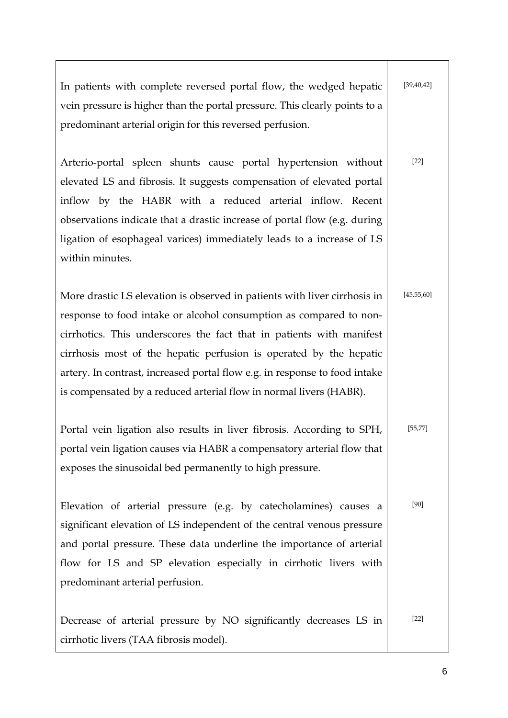| In patients with complete reversed portal flow, the wedged hepatic<br>vein pressure is higher than the portal pressure. This clearly points to a<br>predominant arterial origin for this reversed perfusion.                                                                                                                                                                                                                                      | [39, 40, 42] |
|---------------------------------------------------------------------------------------------------------------------------------------------------------------------------------------------------------------------------------------------------------------------------------------------------------------------------------------------------------------------------------------------------------------------------------------------------|--------------|
| Arterio-portal spleen shunts cause portal hypertension without<br>elevated LS and fibrosis. It suggests compensation of elevated portal<br>inflow by the HABR with a reduced arterial inflow. Recent<br>observations indicate that a drastic increase of portal flow (e.g. during<br>ligation of esophageal varices) immediately leads to a increase of LS<br>within minutes.                                                                     | $[22]$       |
| More drastic LS elevation is observed in patients with liver cirrhosis in<br>response to food intake or alcohol consumption as compared to non-<br>cirrhotics. This underscores the fact that in patients with manifest<br>cirrhosis most of the hepatic perfusion is operated by the hepatic<br>artery. In contrast, increased portal flow e.g. in response to food intake<br>is compensated by a reduced arterial flow in normal livers (HABR). | [45, 55, 60] |
| Portal vein ligation also results in liver fibrosis. According to SPH,<br>portal vein ligation causes via HABR a compensatory arterial flow that<br>exposes the sinusoidal bed permanently to high pressure.                                                                                                                                                                                                                                      | [55, 77]     |
| Elevation of arterial pressure (e.g. by catecholamines) causes a<br>significant elevation of LS independent of the central venous pressure<br>and portal pressure. These data underline the importance of arterial<br>flow for LS and SP elevation especially in cirrhotic livers with<br>predominant arterial perfusion.                                                                                                                         | [90]         |
| Decrease of arterial pressure by NO significantly decreases LS in<br>cirrhotic livers (TAA fibrosis model).                                                                                                                                                                                                                                                                                                                                       | $[22]$       |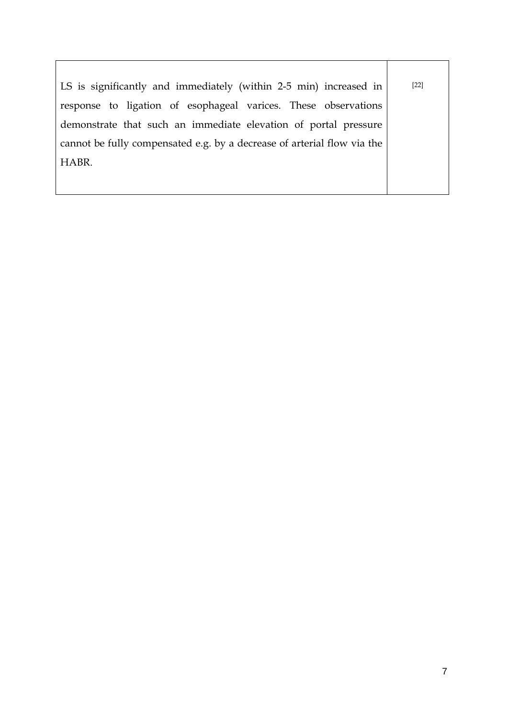| LS is significantly and immediately (within 2-5 min) increased in       | $[22]$ |
|-------------------------------------------------------------------------|--------|
| response to ligation of esophageal varices. These observations          |        |
| demonstrate that such an immediate elevation of portal pressure         |        |
| cannot be fully compensated e.g. by a decrease of arterial flow via the |        |
| HABR.                                                                   |        |
|                                                                         |        |
|                                                                         |        |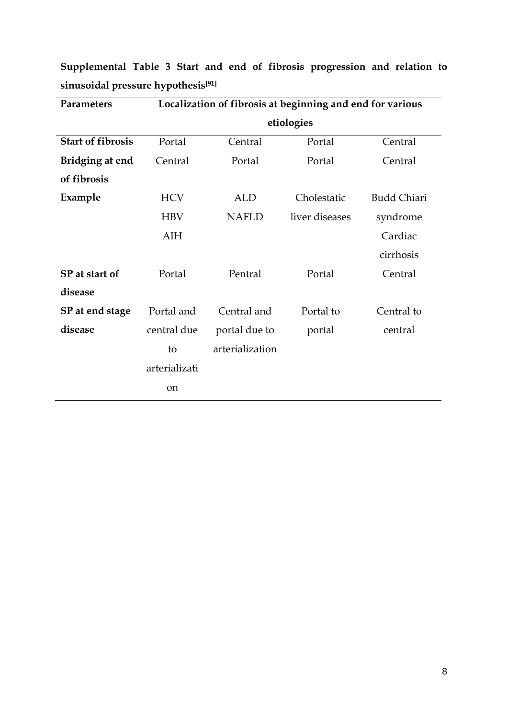| Parameters               | Localization of fibrosis at beginning and end for various |                 |                |                    |  |
|--------------------------|-----------------------------------------------------------|-----------------|----------------|--------------------|--|
|                          | etiologies                                                |                 |                |                    |  |
| <b>Start of fibrosis</b> | Portal                                                    | Central         | Portal         | Central            |  |
| Bridging at end          | Central                                                   | Portal          | Portal         | Central            |  |
| of fibrosis              |                                                           |                 |                |                    |  |
| Example                  | <b>HCV</b>                                                | <b>ALD</b>      | Cholestatic    | <b>Budd Chiari</b> |  |
|                          | <b>HBV</b>                                                | <b>NAFLD</b>    | liver diseases | syndrome           |  |
|                          | AIH                                                       |                 |                | Cardiac            |  |
|                          |                                                           |                 |                | cirrhosis          |  |
| SP at start of           | Portal                                                    | Pentral         | Portal         | Central            |  |
| disease                  |                                                           |                 |                |                    |  |
| SP at end stage          | Portal and                                                | Central and     | Portal to      | Central to         |  |
| disease                  | central due                                               | portal due to   | portal         | central            |  |
|                          | to                                                        | arterialization |                |                    |  |
|                          | arterializati                                             |                 |                |                    |  |
|                          | on                                                        |                 |                |                    |  |
|                          |                                                           |                 |                |                    |  |

**Supplemental Table 3 Start and end of fibrosis progression and relation to sinusoidal pressure hypothesis[91]**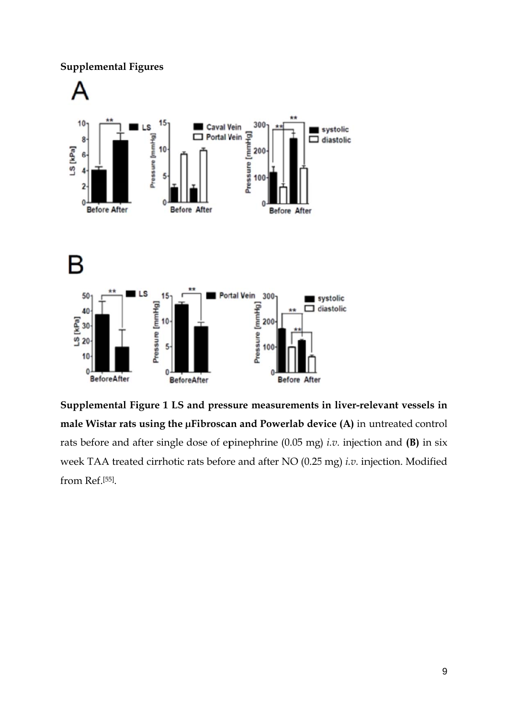**Supplemental Figures** 



Supplemental Figure 1 LS and pressure measurements in liver-relevant vessels in male Wistar rats using the µFibroscan and Powerlab device (A) in untreated control rats before and after single dose of epinephrine (0.05 mg) *i.v.* injection and (B) in six week TAA treated cirrhotic rats before and after NO (0.25 mg) *i.v.* injection. Modified from Ref.[55].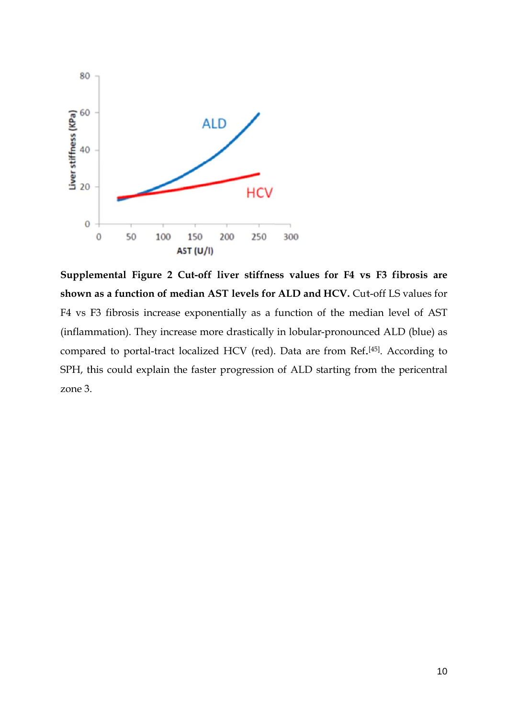

Supplemental Figure 2 Cut-off liver stiffness values for F4 vs F3 fibrosis are shown as a function of median AST levels for ALD and HCV. Cut-off LS values for F4 vs F3 fibrosis increase exponentially as a function of the median level of AST (inflammation). They increase more drastically in lobular-pronounced ALD (blue) as compared to portal-tract localized HCV (red). Data are from Ref.<sup>[45]</sup>. According to SPH, this could explain the faster progression of ALD starting from the pericentral zone 3.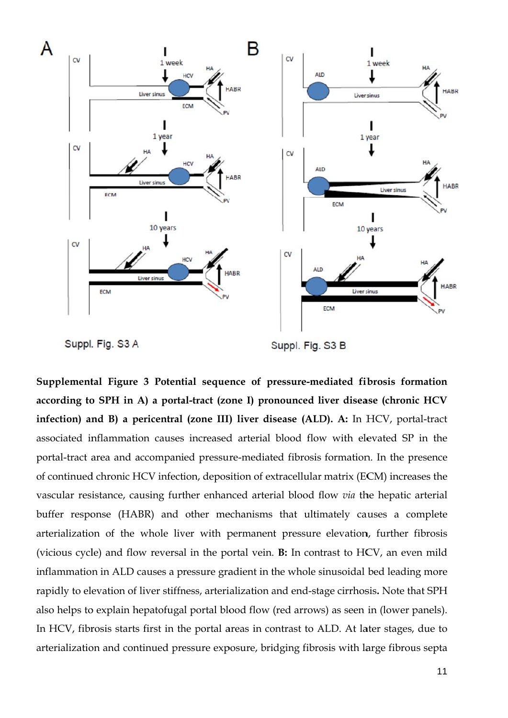

Supplemental Figure 3 Potential sequence of pressure-mediated fibrosis formation according to SPH in A) a portal-tract (zone I) pronounced liver disease (chronic HCV infection) and B) a pericentral (zone III) liver disease (ALD). A: In HCV, portal-tract associated inflammation causes increased arterial blood flow with elevated SP in the portal-tract area and accompanied pressure-mediated fibrosis formation. In the presence of continued chronic HCV infection, deposition of extracellular matrix (ECM) increases the vascular resistance, causing further enhanced arterial blood flow *via* the hepatic arterial buffer response (HABR) and other mechanisms that ultimately causes a complete arterialization of the whole liver with permanent pressure elevation, further fibrosis (vicious cycle) and flow reversal in the portal vein. **B:** In contrast to HCV, an even mild inflammation in ALD causes a pressure gradient in the whole sinusoidal bed leading more rapidly to elevation of liver stiffness, arterialization and end-stage cirrhosis. Note that SPH also helps to explain hepatofugal portal blood flow (red arrows) as seen in (lower panels). In HCV, fibrosis starts first in the portal areas in contrast to ALD. At later stages, due to arterialization and continued pressure exposure, bridging fibrosis with large fibrous septa